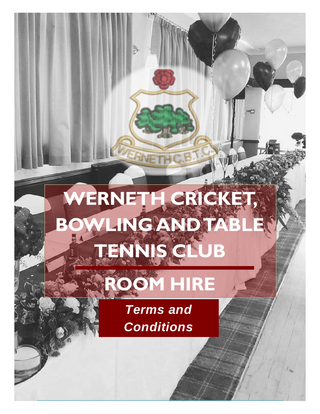# WERNETH CRICKET **BOWLING AND TABLE TENNIS CLUB**

# **ROOM HIRE**

*Terms and Conditions*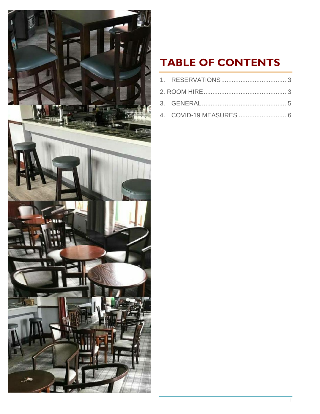

### **TABLE OF CONTENTS**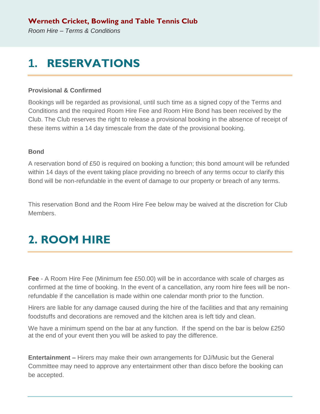### <span id="page-2-0"></span>**1. RESERVATIONS**

#### **Provisional & Confirmed**

Bookings will be regarded as provisional, until such time as a signed copy of the Terms and Conditions and the required Room Hire Fee and Room Hire Bond has been received by the Club. The Club reserves the right to release a provisional booking in the absence of receipt of these items within a 14 day timescale from the date of the provisional booking.

#### **Bond**

A reservation bond of £50 is required on booking a function; this bond amount will be refunded within 14 days of the event taking place providing no breech of any terms occur to clarify this Bond will be non-refundable in the event of damage to our property or breach of any terms.

This reservation Bond and the Room Hire Fee below may be waived at the discretion for Club Members.

## <span id="page-2-1"></span>**2. ROOM HIRE**

**Fee** - A Room Hire Fee (Minimum fee £50.00) will be in accordance with scale of charges as confirmed at the time of booking. In the event of a cancellation, any room hire fees will be nonrefundable if the cancellation is made within one calendar month prior to the function.

Hirers are liable for any damage caused during the hire of the facilities and that any remaining foodstuffs and decorations are removed and the kitchen area is left tidy and clean.

We have a minimum spend on the bar at any function. If the spend on the bar is below £250 at the end of your event then you will be asked to pay the difference.

**Entertainment –** Hirers may make their own arrangements for DJ/Music but the General Committee may need to approve any entertainment other than disco before the booking can be accepted.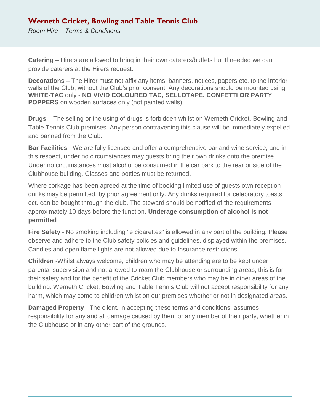### **Werneth Cricket, Bowling and Table Tennis Club**

*Room Hire – Terms & Conditions*

**Catering** – Hirers are allowed to bring in their own caterers/buffets but If needed we can provide caterers at the Hirers request.

**Decorations –** The Hirer must not affix any items, banners, notices, papers etc. to the interior walls of the Club, without the Club's prior consent. Any decorations should be mounted using **WHITE-TAC** only - **NO VIVID COLOURED TAC, SELLOTAPE, CONFETTI OR PARTY POPPERS** on wooden surfaces only (not painted walls).

**Drugs** – The selling or the using of drugs is forbidden whilst on Werneth Cricket, Bowling and Table Tennis Club premises. Any person contravening this clause will be immediately expelled and banned from the Club.

**Bar Facilities** - We are fully licensed and offer a comprehensive bar and wine service, and in this respect, under no circumstances may guests bring their own drinks onto the premise.. Under no circumstances must alcohol be consumed in the car park to the rear or side of the Clubhouse building. Glasses and bottles must be returned.

Where corkage has been agreed at the time of booking limited use of guests own reception drinks may be permitted, by prior agreement only. Any drinks required for celebratory toasts ect. can be bought through the club. The steward should be notified of the requirements approximately 10 days before the function. **Underage consumption of alcohol is not permitted**

**Fire Safety** - No smoking including "e cigarettes" is allowed in any part of the building. Please observe and adhere to the Club safety policies and guidelines, displayed within the premises. Candles and open flame lights are not allowed due to Insurance restrictions.

**Children** -Whilst always welcome, children who may be attending are to be kept under parental supervision and not allowed to roam the Clubhouse or surrounding areas, this is for their safety and for the benefit of the Cricket Club members who may be in other areas of the building. Werneth Cricket, Bowling and Table Tennis Club will not accept responsibility for any harm, which may come to children whilst on our premises whether or not in designated areas.

**Damaged Property** - The client, in accepting these terms and conditions, assumes responsibility for any and all damage caused by them or any member of their party, whether in the Clubhouse or in any other part of the grounds.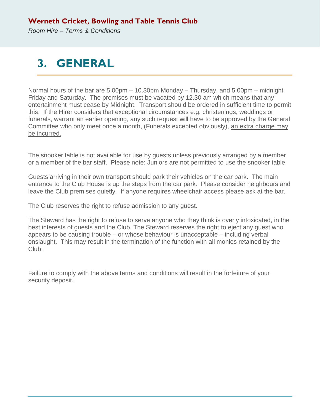## <span id="page-4-0"></span>**3. GENERAL**

Normal hours of the bar are 5.00pm – 10.30pm Monday – Thursday, and 5.00pm – midnight Friday and Saturday. The premises must be vacated by 12.30 am which means that any entertainment must cease by Midnight. Transport should be ordered in sufficient time to permit this. If the Hirer considers that exceptional circumstances e.g. christenings, weddings or funerals, warrant an earlier opening, any such request will have to be approved by the General Committee who only meet once a month, (Funerals excepted obviously), an extra charge may be incurred.

The snooker table is not available for use by guests unless previously arranged by a member or a member of the bar staff. Please note: Juniors are not permitted to use the snooker table.

Guests arriving in their own transport should park their vehicles on the car park. The main entrance to the Club House is up the steps from the car park. Please consider neighbours and leave the Club premises quietly. If anyone requires wheelchair access please ask at the bar.

The Club reserves the right to refuse admission to any guest.

The Steward has the right to refuse to serve anyone who they think is overly intoxicated, in the best interests of guests and the Club. The Steward reserves the right to eject any guest who appears to be causing trouble – or whose behaviour is unacceptable – including verbal onslaught. This may result in the termination of the function with all monies retained by the Club.

Failure to comply with the above terms and conditions will result in the forfeiture of your security deposit.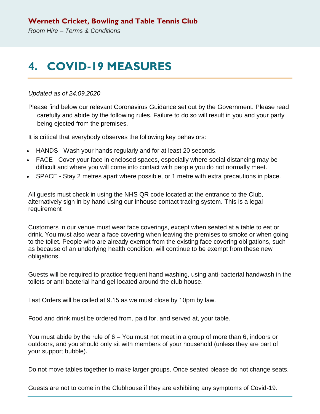### <span id="page-5-0"></span>**4. COVID-19 MEASURES**

#### *Updated as of 24.09.2020*

Please find below our relevant Coronavirus Guidance set out by the Government. Please read carefully and abide by the following rules. Failure to do so will result in you and your party being ejected from the premises.

It is critical that everybody observes the following key behaviors:

- HANDS Wash your hands regularly and for at least 20 seconds.
- FACE Cover your face in enclosed spaces, especially where social distancing may be difficult and where you will come into contact with people you do not normally meet.
- SPACE Stay 2 metres apart where possible, or 1 metre with extra precautions in place.

All guests must check in using the NHS QR code located at the entrance to the Club, alternatively sign in by hand using our inhouse contact tracing system. This is a legal requirement

Customers in our venue must wear face coverings, except when seated at a table to eat or drink. You must also wear a face covering when leaving the premises to smoke or when going to the toilet. People who are already exempt from the existing face covering obligations, such as because of an underlying health condition, will continue to be exempt from these new obligations.

Guests will be required to practice frequent hand washing, using anti-bacterial handwash in the toilets or anti-bacterial hand gel located around the club house.

Last Orders will be called at 9.15 as we must close by 10pm by law.

Food and drink must be ordered from, paid for, and served at, your table.

You must abide by the rule of 6 – You must not meet in a group of more than 6, indoors or outdoors, and you should only sit with members of your household (unless they are part of your support bubble).

Do not move tables together to make larger groups. Once seated please do not change seats.

Guests are not to come in the Clubhouse if they are exhibiting any symptoms of Covid-19.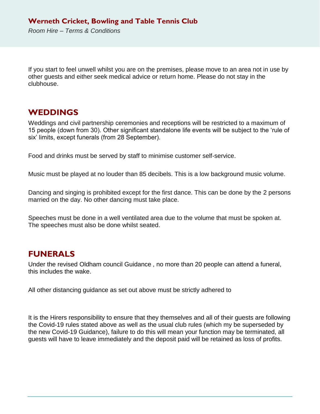If you start to feel unwell whilst you are on the premises, please move to an area not in use by other guests and either seek medical advice or return home. Please do not stay in the clubhouse.

### **WEDDINGS**

Weddings and civil partnership ceremonies and receptions will be restricted to a maximum of 15 people (down from 30). Other significant standalone life events will be subject to the 'rule of six' limits, except funerals (from 28 September).

Food and drinks must be served by staff to minimise customer self-service.

Music must be played at no louder than 85 decibels. This is a low background music volume.

Dancing and singing is prohibited except for the first dance. This can be done by the 2 persons married on the day. No other dancing must take place.

Speeches must be done in a well ventilated area due to the volume that must be spoken at. The speeches must also be done whilst seated.

#### **FUNERALS**

Under the revised Oldham council Guidance , no more than 20 people can attend a funeral, this includes the wake.

All other distancing guidance as set out above must be strictly adhered to

It is the Hirers responsibility to ensure that they themselves and all of their guests are following the Covid-19 rules stated above as well as the usual club rules (which my be superseded by the new Covid-19 Guidance), failure to do this will mean your function may be terminated, all guests will have to leave immediately and the deposit paid will be retained as loss of profits.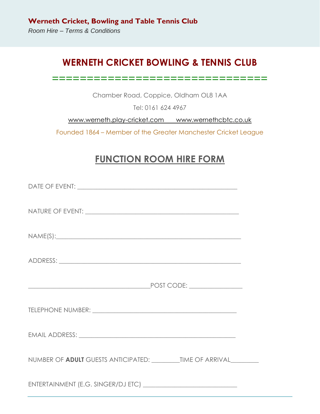### **WERNETH CRICKET BOWLING & TENNIS CLUB**

```
===============================
```
Chamber Road, Coppice, Oldham OL8 1AA

Tel: 0161 624 4967

[www.werneth.play-cricket.com](http://www.werneth.play-cricket.com/) www.wernethcbtc.co.uk

Founded 1864 – Member of the Greater Manchester Cricket League

### **FUNCTION ROOM HIRE FORM**

| NAME(S):                                                                                                                                                                                                                       |  |
|--------------------------------------------------------------------------------------------------------------------------------------------------------------------------------------------------------------------------------|--|
|                                                                                                                                                                                                                                |  |
|                                                                                                                                                                                                                                |  |
| TELEPHONE NUMBER: University of the state of the state of the state of the state of the state of the state of the state of the state of the state of the state of the state of the state of the state of the state of the stat |  |
|                                                                                                                                                                                                                                |  |
|                                                                                                                                                                                                                                |  |
|                                                                                                                                                                                                                                |  |